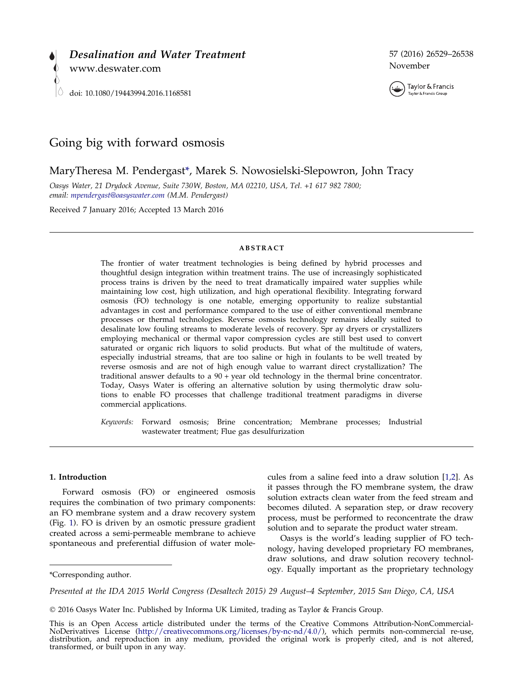



# Going big with forward osmosis

# MaryTheresa M. Pendergast\*, Marek S. Nowosielski-Slepowron, John Tracy

Oasys Water, 21 Drydock Avenue, Suite 730W, Boston, MA 02210, USA, Tel. +1 617 982 7800; email: [mpendergast@oasyswater.com](mailto:mpendergast@oasyswater.com) (M.M. Pendergast)

Received 7 January 2016; Accepted 13 March 2016

## ABSTRACT

The frontier of water treatment technologies is being defined by hybrid processes and thoughtful design integration within treatment trains. The use of increasingly sophisticated process trains is driven by the need to treat dramatically impaired water supplies while maintaining low cost, high utilization, and high operational flexibility. Integrating forward osmosis (FO) technology is one notable, emerging opportunity to realize substantial advantages in cost and performance compared to the use of either conventional membrane processes or thermal technologies. Reverse osmosis technology remains ideally suited to desalinate low fouling streams to moderate levels of recovery. Spr ay dryers or crystallizers employing mechanical or thermal vapor compression cycles are still best used to convert saturated or organic rich liquors to solid products. But what of the multitude of waters, especially industrial streams, that are too saline or high in foulants to be well treated by reverse osmosis and are not of high enough value to warrant direct crystallization? The traditional answer defaults to a 90 + year old technology in the thermal brine concentrator. Today, Oasys Water is offering an alternative solution by using thermolytic draw solutions to enable FO processes that challenge traditional treatment paradigms in diverse commercial applications.

Keywords: Forward osmosis; Brine concentration; Membrane processes; Industrial wastewater treatment; Flue gas desulfurization

# 1. Introduction

Forward osmosis (FO) or engineered osmosis requires the combination of two primary components: an FO membrane system and a draw recovery system (Fig. [1\)](#page-1-0). FO is driven by an osmotic pressure gradient created across a semi-permeable membrane to achieve spontaneous and preferential diffusion of water molecules from a saline feed into a draw solution [[1,2\]](#page-8-0). As it passes through the FO membrane system, the draw solution extracts clean water from the feed stream and becomes diluted. A separation step, or draw recovery process, must be performed to reconcentrate the draw solution and to separate the product water stream.

Oasys is the world's leading supplier of FO technology, having developed proprietary FO membranes, draw solutions, and draw solution recovery technology. Equally important as the proprietary technology \*Corresponding author.

Presented at the IDA 2015 World Congress (Desaltech 2015) 29 August–4 September, 2015 San Diego, CA, USA

2016 Oasys Water Inc. Published by Informa UK Limited, trading as Taylor & Francis Group.

This is an Open Access article distributed under the terms of the Creative Commons Attribution-NonCommercial-NoDerivatives License (http://creativecommons.org/licenses/by-nc-nd/4.0/), which permits non-commercial re-use, NoDerivatives License (<http://creativecommons.org/licenses/by-nc-nd/4.0/>), which permits non-commercial re-use, distribution, and reproduction in any medium, provided the original work is properly cited, and is not altered, transformed, or built upon in any way.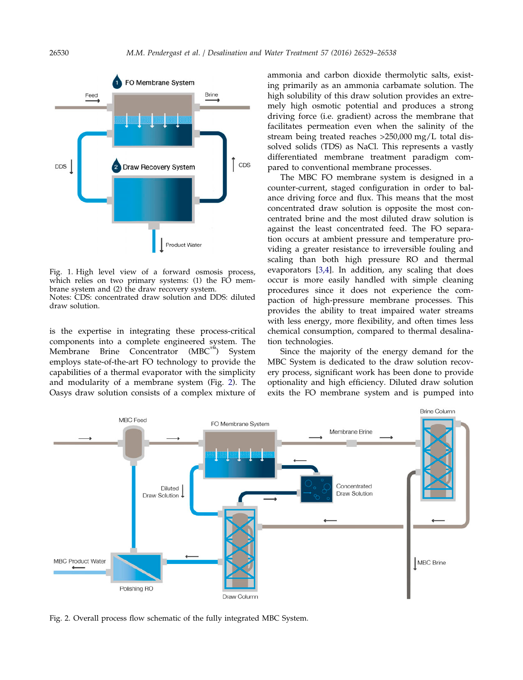<span id="page-1-0"></span>

Fig. 1. High level view of a forward osmosis process, which relies on two primary systems: (1) the FO membrane system and (2) the draw recovery system.

Notes: CDS: concentrated draw solution and DDS: diluted draw solution.

is the expertise in integrating these process-critical components into a complete engineered system. The Membrane Brine Concentrator (MBC™) System employs state-of-the-art FO technology to provide the capabilities of a thermal evaporator with the simplicity and modularity of a membrane system (Fig. 2). The Oasys draw solution consists of a complex mixture of ammonia and carbon dioxide thermolytic salts, existing primarily as an ammonia carbamate solution. The high solubility of this draw solution provides an extremely high osmotic potential and produces a strong driving force (i.e. gradient) across the membrane that facilitates permeation even when the salinity of the stream being treated reaches >250,000 mg/L total dissolved solids (TDS) as NaCl. This represents a vastly differentiated membrane treatment paradigm compared to conventional membrane processes.

The MBC FO membrane system is designed in a counter-current, staged configuration in order to balance driving force and flux. This means that the most concentrated draw solution is opposite the most concentrated brine and the most diluted draw solution is against the least concentrated feed. The FO separation occurs at ambient pressure and temperature providing a greater resistance to irreversible fouling and scaling than both high pressure RO and thermal evaporators [\[3,4\]](#page-8-0). In addition, any scaling that does occur is more easily handled with simple cleaning procedures since it does not experience the compaction of high-pressure membrane processes. This provides the ability to treat impaired water streams with less energy, more flexibility, and often times less chemical consumption, compared to thermal desalination technologies.

Since the majority of the energy demand for the MBC System is dedicated to the draw solution recovery process, significant work has been done to provide optionality and high efficiency. Diluted draw solution exits the FO membrane system and is pumped into



Fig. 2. Overall process flow schematic of the fully integrated MBC System.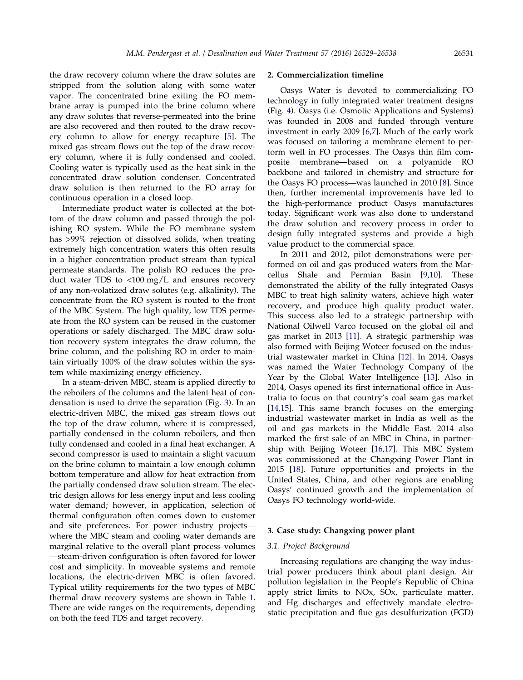<span id="page-2-0"></span>the draw recovery column where the draw solutes are stripped from the solution along with some water vapor. The concentrated brine exiting the FO membrane array is pumped into the brine column where any draw solutes that reverse-permeated into the brine are also recovered and then routed to the draw recovery column to allow for energy recapture [[5\]](#page-8-0). The mixed gas stream flows out the top of the draw recovery column, where it is fully condensed and cooled. Cooling water is typically used as the heat sink in the concentrated draw solution condenser. Concentrated draw solution is then returned to the FO array for continuous operation in a closed loop.

Intermediate product water is collected at the bottom of the draw column and passed through the polishing RO system. While the FO membrane system has >99% rejection of dissolved solids, when treating extremely high concentration waters this often results in a higher concentration product stream than typical permeate standards. The polish RO reduces the product water TDS to <100 mg/L and ensures recovery of any non-volatized draw solutes (e.g. alkalinity). The concentrate from the RO system is routed to the front of the MBC System. The high quality, low TDS permeate from the RO system can be reused in the customer operations or safely discharged. The MBC draw solution recovery system integrates the draw column, the brine column, and the polishing RO in order to maintain virtually 100% of the draw solutes within the system while maximizing energy efficiency.

In a steam-driven MBC, steam is applied directly to the reboilers of the columns and the latent heat of condensation is used to drive the separation (Fig. [3](#page-3-0)). In an electric-driven MBC, the mixed gas stream flows out the top of the draw column, where it is compressed, partially condensed in the column reboilers, and then fully condensed and cooled in a final heat exchanger. A second compressor is used to maintain a slight vacuum on the brine column to maintain a low enough column bottom temperature and allow for heat extraction from the partially condensed draw solution stream. The electric design allows for less energy input and less cooling water demand; however, in application, selection of thermal configuration often comes down to customer and site preferences. For power industry projects where the MBC steam and cooling water demands are marginal relative to the overall plant process volumes —steam-driven configuration is often favored for lower cost and simplicity. In moveable systems and remote locations, the electric-driven MBC is often favored. Typical utility requirements for the two types of MBC thermal draw recovery systems are shown in Table [1](#page-4-0). There are wide ranges on the requirements, depending on both the feed TDS and target recovery.

#### 2. Commercialization timeline

Oasys Water is devoted to commercializing FO technology in fully integrated water treatment designs (Fig. [4](#page-4-0)). Oasys (i.e. Osmotic Applications and Systems) was founded in 2008 and funded through venture investment in early 2009 [[6,7](#page-8-0)]. Much of the early work was focused on tailoring a membrane element to perform well in FO processes. The Oasys thin film composite membrane—based on a polyamide RO backbone and tailored in chemistry and structure for the Oasys FO process—was launched in 2010 [[8\]](#page-8-0). Since then, further incremental improvements have led to the high-performance product Oasys manufactures today. Significant work was also done to understand the draw solution and recovery process in order to design fully integrated systems and provide a high value product to the commercial space.

In 2011 and 2012, pilot demonstrations were performed on oil and gas produced waters from the Marcellus Shale and Permian Basin [\[9,10](#page-8-0)]. These demonstrated the ability of the fully integrated Oasys MBC to treat high salinity waters, achieve high water recovery, and produce high quality product water. This success also led to a strategic partnership with National Oilwell Varco focused on the global oil and gas market in 2013 [[11](#page-8-0)]. A strategic partnership was also formed with Beijing Woteer focused on the industrial wastewater market in China [\[12](#page-8-0)]. In 2014, Oasys was named the Water Technology Company of the Year by the Global Water Intelligence [\[13\]](#page-8-0). Also in 2014, Oasys opened its first international office in Australia to focus on that country's coal seam gas market [\[14,15\]](#page-8-0). This same branch focuses on the emerging industrial wastewater market in India as well as the oil and gas markets in the Middle East. 2014 also marked the first sale of an MBC in China, in partnership with Beijing Woteer [\[16,17](#page-8-0)]. This MBC System was commissioned at the Changxing Power Plant in 2015 [[18](#page-8-0)]. Future opportunities and projects in the United States, China, and other regions are enabling Oasys' continued growth and the implementation of Oasys FO technology world-wide.

### 3. Case study: Changxing power plant

#### 3.1. Project Background

Increasing regulations are changing the way industrial power producers think about plant design. Air pollution legislation in the People's Republic of China apply strict limits to NOx, SOx, particulate matter, and Hg discharges and effectively mandate electrostatic precipitation and flue gas desulfurization (FGD)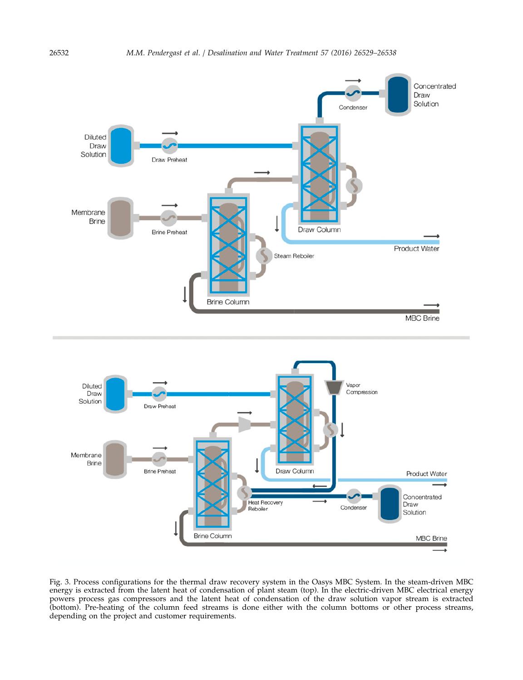<span id="page-3-0"></span>



Fig. 3. Process configurations for the thermal draw recovery system in the Oasys MBC System. In the steam-driven MBC energy is extracted from the latent heat of condensation of plant steam (top). In the electric-driven MBC electrical energy powers process gas compressors and the latent heat of condensation of the draw solution vapor stream is extracted (bottom). Pre-heating of the column feed streams is done either with the column bottoms or other process streams, depending on the project and customer requirements.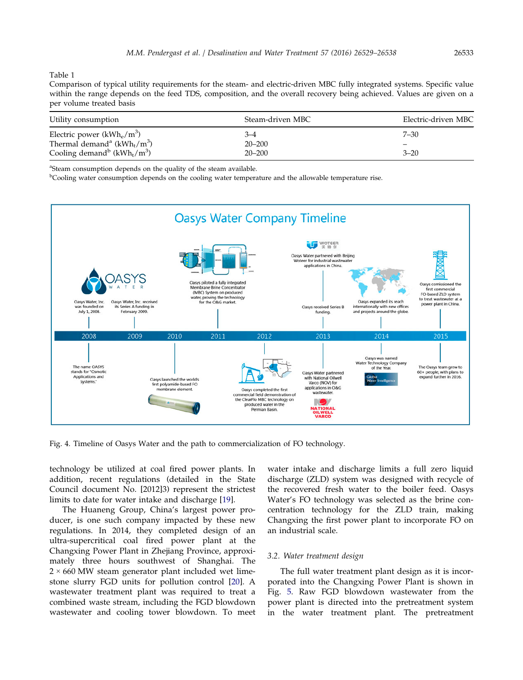<span id="page-4-0"></span>Table 1

Comparison of typical utility requirements for the steam- and electric-driven MBC fully integrated systems. Specific value within the range depends on the feed TDS, composition, and the overall recovery being achieved. Values are given on a per volume treated basis

| Utility consumption                         | Steam-driven MBC | Electric-driven MBC |  |  |  |
|---------------------------------------------|------------------|---------------------|--|--|--|
| Electric power $(kWh_e/m^3)$                | 3–4              | $7 - 30$            |  |  |  |
| Thermal demand <sup>a</sup> ( $kWh_t/m^3$ ) | $20 - 200$       |                     |  |  |  |
| Cooling demand <sup>b</sup> ( $kWh_t/m^3$ ) | $20 - 200$       | $3 - 20$            |  |  |  |

<sup>a</sup>Steam consumption depends on the quality of the steam available.

<sup>b</sup>Cooling water consumption depends on the cooling water temperature and the allowable temperature rise.



Fig. 4. Timeline of Oasys Water and the path to commercialization of FO technology.

technology be utilized at coal fired power plants. In addition, recent regulations (detailed in the State Council document No. [2012]3) represent the strictest limits to date for water intake and discharge [\[19\]](#page-9-0).

The Huaneng Group, China's largest power producer, is one such company impacted by these new regulations. In 2014, they completed design of an ultra-supercritical coal fired power plant at the Changxing Power Plant in Zhejiang Province, approximately three hours southwest of Shanghai. The  $2 \times 660$  MW steam generator plant included wet limestone slurry FGD units for pollution control [[20](#page-9-0)]. A wastewater treatment plant was required to treat a combined waste stream, including the FGD blowdown wastewater and cooling tower blowdown. To meet water intake and discharge limits a full zero liquid discharge (ZLD) system was designed with recycle of the recovered fresh water to the boiler feed. Oasys Water's FO technology was selected as the brine concentration technology for the ZLD train, making Changxing the first power plant to incorporate FO on an industrial scale.

#### 3.2. Water treatment design

The full water treatment plant design as it is incorporated into the Changxing Power Plant is shown in Fig. [5](#page-5-0). Raw FGD blowdown wastewater from the power plant is directed into the pretreatment system in the water treatment plant. The pretreatment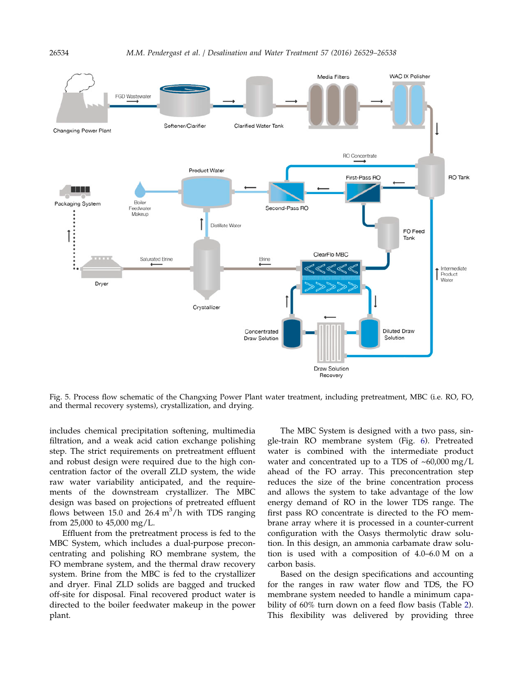

Fig. 5. Process flow schematic of the Changxing Power Plant water treatment, including pretreatment, MBC (i.e. RO, FO, and thermal recovery systems), crystallization, and drying.

includes chemical precipitation softening, multimedia filtration, and a weak acid cation exchange polishing step. The strict requirements on pretreatment effluent and robust design were required due to the high concentration factor of the overall ZLD system, the wide raw water variability anticipated, and the requirements of the downstream crystallizer. The MBC design was based on projections of pretreated effluent flows between 15.0 and  $26.4 \text{ m}^3/\text{h}$  with TDS ranging from 25,000 to 45,000 mg/L.

Effluent from the pretreatment process is fed to the MBC System, which includes a dual-purpose preconcentrating and polishing RO membrane system, the FO membrane system, and the thermal draw recovery system. Brine from the MBC is fed to the crystallizer and dryer. Final ZLD solids are bagged and trucked off-site for disposal. Final recovered product water is directed to the boiler feedwater makeup in the power plant.

The MBC System is designed with a two pass, single-train RO membrane system (Fig. [6](#page-6-0)). Pretreated water is combined with the intermediate product water and concentrated up to a TDS of  $~60,000 \text{ mg/L}$ ahead of the FO array. This preconcentration step reduces the size of the brine concentration process and allows the system to take advantage of the low energy demand of RO in the lower TDS range. The first pass RO concentrate is directed to the FO membrane array where it is processed in a counter-current configuration with the Oasys thermolytic draw solution. In this design, an ammonia carbamate draw solution is used with a composition of 4.0–6.0 M on a carbon basis.

Based on the design specifications and accounting for the ranges in raw water flow and TDS, the FO membrane system needed to handle a minimum capability of 60% turn down on a feed flow basis (Table [2](#page-6-0)). This flexibility was delivered by providing three

<span id="page-5-0"></span>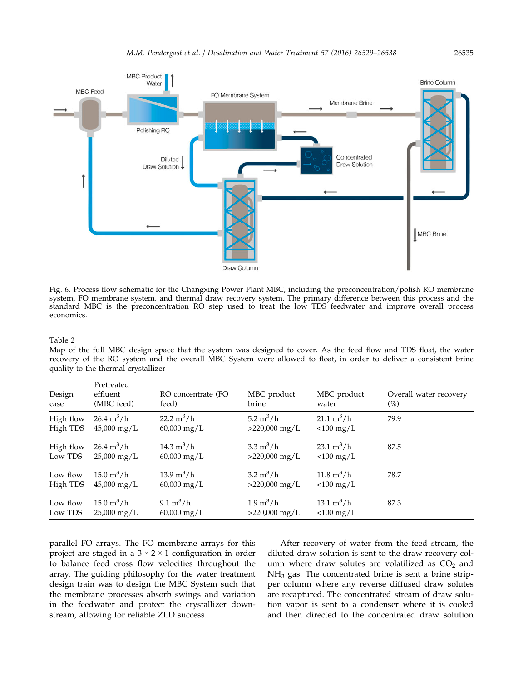<span id="page-6-0"></span>

Fig. 6. Process flow schematic for the Changxing Power Plant MBC, including the preconcentration/polish RO membrane system, FO membrane system, and thermal draw recovery system. The primary difference between this process and the standard MBC is the preconcentration RO step used to treat the low TDS feedwater and improve overall process economics.

Table 2

Map of the full MBC design space that the system was designed to cover. As the feed flow and TDS float, the water recovery of the RO system and the overall MBC System were allowed to float, in order to deliver a consistent brine quality to the thermal crystallizer

| Design<br>case | Pretreated<br>effluent<br>(MBC feed) | RO concentrate (FO<br>feed) | MBC product<br>brine       | MBC product<br>water        | Overall water recovery<br>$(\%)$ |
|----------------|--------------------------------------|-----------------------------|----------------------------|-----------------------------|----------------------------------|
| High flow      | $26.4 \text{ m}^3/\text{h}$          | 22.2 $m^3/h$                | 5.2 $m^3/h$                | $21.1 \text{ m}^3/\text{h}$ | 79.9                             |
| High TDS       | $45,000 \,\mathrm{mg/L}$             | $60,000 \,\mathrm{mg/L}$    | $>220,000$ mg/L            | $<$ 100 mg/L                |                                  |
| High flow      | $26.4 \text{ m}^3/\text{h}$          | $14.3 \text{ m}^3/\text{h}$ | $3.3 \text{ m}^3/\text{h}$ | $23.1 \text{ m}^3/\text{h}$ | 87.5                             |
| Low TDS        | $25,000 \,\mathrm{mg/L}$             | $60,000 \,\mathrm{mg/L}$    | $>220,000$ mg/L            | $<$ 100 mg/L                |                                  |
| Low flow       | $15.0 \text{ m}^3/\text{h}$          | $13.9 \text{ m}^3/\text{h}$ | $3.2 \text{ m}^3/\text{h}$ | $11.8 \text{ m}^3/\text{h}$ | 78.7                             |
| High TDS       | $45,000 \,\mathrm{mg/L}$             | $60,000 \,\mathrm{mg/L}$    | $>220,000$ mg/L            | $<$ 100 mg/L                |                                  |
| Low flow       | $15.0 \text{ m}^3/\text{h}$          | 9.1 $m^3/h$                 | $1.9 \text{ m}^3/\text{h}$ | 13.1 $m^3/h$                | 87.3                             |
| Low TDS        | $25,000 \,\mathrm{mg/L}$             | $60,000 \,\mathrm{mg/L}$    | $>220,000$ mg/L            | $<$ 100 mg/L                |                                  |

parallel FO arrays. The FO membrane arrays for this project are staged in a  $3 \times 2 \times 1$  configuration in order to balance feed cross flow velocities throughout the array. The guiding philosophy for the water treatment design train was to design the MBC System such that the membrane processes absorb swings and variation in the feedwater and protect the crystallizer downstream, allowing for reliable ZLD success.

After recovery of water from the feed stream, the diluted draw solution is sent to the draw recovery column where draw solutes are volatilized as  $CO<sub>2</sub>$  and NH3 gas. The concentrated brine is sent a brine stripper column where any reverse diffused draw solutes are recaptured. The concentrated stream of draw solution vapor is sent to a condenser where it is cooled and then directed to the concentrated draw solution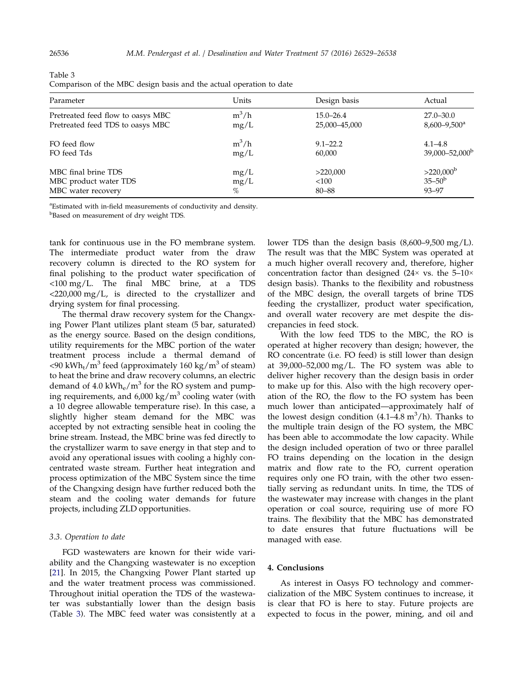| Parameter                         | Units   | Design basis    | Actual                         |  |  |
|-----------------------------------|---------|-----------------|--------------------------------|--|--|
| Pretreated feed flow to oasys MBC | $m^3/h$ | $15.0 - 26.4$   | $27.0 - 30.0$                  |  |  |
| Pretreated feed TDS to oasys MBC  | mg/L    | 25,000 - 45,000 | $8,600 - 9,500^{\circ}$        |  |  |
| FO feed flow                      | $m^3/h$ | $9.1 - 22.2$    | $4.1 - 4.8$                    |  |  |
| FO feed Tds                       | mg/L    | 60,000          | $39,000 - 52,000$ <sup>b</sup> |  |  |
| MBC final brine TDS               | mg/L    | >220,000        | $>220,000^{\rm b}$             |  |  |
| MBC product water TDS             | mg/L    | < 100           | $35 - 50^{\rm b}$              |  |  |
| MBC water recovery                | $\%$    | $80 - 88$       | 93-97                          |  |  |

<span id="page-7-0"></span>Table 3

| Comparison of the MBC design basis and the actual operation to date |  |  |  |  |  |
|---------------------------------------------------------------------|--|--|--|--|--|
|                                                                     |  |  |  |  |  |

a Estimated with in-field measurements of conductivity and density.

b Based on measurement of dry weight TDS.

tank for continuous use in the FO membrane system. The intermediate product water from the draw recovery column is directed to the RO system for final polishing to the product water specification of <100 mg/L. The final MBC brine, at a TDS <220,000 mg/L, is directed to the crystallizer and drying system for final processing.

The thermal draw recovery system for the Changxing Power Plant utilizes plant steam (5 bar, saturated) as the energy source. Based on the design conditions, utility requirements for the MBC portion of the water treatment process include a thermal demand of  $\langle 90 \text{ kWh}_{t}/\text{m}^3 \rangle$  feed (approximately 160 kg/m<sup>3</sup> of steam) to heat the brine and draw recovery columns, an electric demand of 4.0 kWh<sub>e</sub>/m<sup>3</sup> for the RO system and pumping requirements, and  $6,000 \text{ kg/m}^3$  cooling water (with a 10 degree allowable temperature rise). In this case, a slightly higher steam demand for the MBC was accepted by not extracting sensible heat in cooling the brine stream. Instead, the MBC brine was fed directly to the crystallizer warm to save energy in that step and to avoid any operational issues with cooling a highly concentrated waste stream. Further heat integration and process optimization of the MBC System since the time of the Changxing design have further reduced both the steam and the cooling water demands for future projects, including ZLD opportunities.

#### 3.3. Operation to date

FGD wastewaters are known for their wide variability and the Changxing wastewater is no exception [[21\]](#page-9-0). In 2015, the Changxing Power Plant started up and the water treatment process was commissioned. Throughout initial operation the TDS of the wastewater was substantially lower than the design basis (Table 3). The MBC feed water was consistently at a

lower TDS than the design basis (8,600–9,500 mg/L). The result was that the MBC System was operated at a much higher overall recovery and, therefore, higher concentration factor than designed  $(24 \times \text{vs. the } 5{\text -}10 \times$ design basis). Thanks to the flexibility and robustness of the MBC design, the overall targets of brine TDS feeding the crystallizer, product water specification, and overall water recovery are met despite the discrepancies in feed stock.

With the low feed TDS to the MBC, the RO is operated at higher recovery than design; however, the RO concentrate (i.e. FO feed) is still lower than design at 39,000–52,000 mg/L. The FO system was able to deliver higher recovery than the design basis in order to make up for this. Also with the high recovery operation of the RO, the flow to the FO system has been much lower than anticipated—approximately half of the lowest design condition  $(4.1-4.8 \text{ m}^3/\text{h})$ . Thanks to the multiple train design of the FO system, the MBC has been able to accommodate the low capacity. While the design included operation of two or three parallel FO trains depending on the location in the design matrix and flow rate to the FO, current operation requires only one FO train, with the other two essentially serving as redundant units. In time, the TDS of the wastewater may increase with changes in the plant operation or coal source, requiring use of more FO trains. The flexibility that the MBC has demonstrated to date ensures that future fluctuations will be managed with ease.

# 4. Conclusions

As interest in Oasys FO technology and commercialization of the MBC System continues to increase, it is clear that FO is here to stay. Future projects are expected to focus in the power, mining, and oil and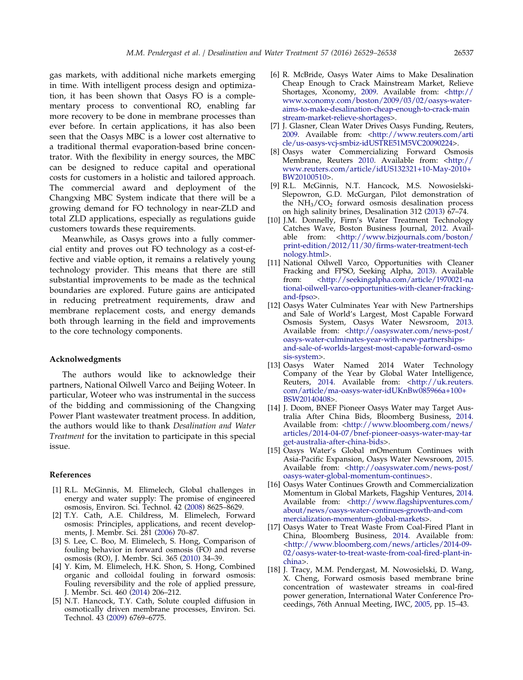<span id="page-8-0"></span>gas markets, with additional niche markets emerging in time. With intelligent process design and optimization, it has been shown that Oasys FO is a complementary process to conventional RO, enabling far more recovery to be done in membrane processes than ever before. In certain applications, it has also been seen that the Oasys MBC is a lower cost alternative to a traditional thermal evaporation-based brine concentrator. With the flexibility in energy sources, the MBC can be designed to reduce capital and operational costs for customers in a holistic and tailored approach. The commercial award and deployment of the Changxing MBC System indicate that there will be a growing demand for FO technology in near-ZLD and total ZLD applications, especially as regulations guide customers towards these requirements.

Meanwhile, as Oasys grows into a fully commercial entity and proves out FO technology as a cost-effective and viable option, it remains a relatively young technology provider. This means that there are still substantial improvements to be made as the technical boundaries are explored. Future gains are anticipated in reducing pretreatment requirements, draw and membrane replacement costs, and energy demands both through learning in the field and improvements to the core technology components.

#### Acknolwedgments

The authors would like to acknowledge their partners, National Oilwell Varco and Beijing Woteer. In particular, Woteer who was instrumental in the success of the bidding and commissioning of the Changxing Power Plant wastewater treatment process. In addition, the authors would like to thank Desalination and Water Treatment for the invitation to participate in this special issue.

#### References

- [1] R.L. McGinnis, M. Elimelech, Global challenges in energy and water supply: The promise of engineered osmosis, Environ. Sci. Technol. 42 (2008) 8625–8629.
- [2] T.Y. Cath, A.E. Childress, M. Elimelech, Forward osmosis: Principles, applications, and recent developments, J. Membr. Sci. 281 (2006) 70–87.
- [3] S. Lee, C. Boo, M. Elimelech, S. Hong, Comparison of fouling behavior in forward osmosis (FO) and reverse osmosis (RO), J. Membr. Sci. 365 (2010) 34–39.
- [4] Y. Kim, M. Elimelech, H.K. Shon, S. Hong, Combined organic and colloidal fouling in forward osmosis: Fouling reversibility and the role of applied pressure, J. Membr. Sci. 460 (2014) 206–212.
- [5] N.T. Hancock, T.Y. Cath, Solute coupled diffusion in osmotically driven membrane processes, Environ. Sci. Technol. 43 [\(2009](#page-2-0)) 6769–6775.
- [6] R. McBride, Oasys Water Aims to Make Desalination Cheap Enough to Crack Mainstream Market, Relieve Shortages, Xconomy, 2009. Available from: <[http://](http://www.xconomy.com/boston/2009/03/02/oasys-water-aims-to-make-desalination-cheap-enough-to-crack-mainstream-market-relieve-shortages) [www.xconomy.com/boston/2009/03/02/oasys-water](http://www.xconomy.com/boston/2009/03/02/oasys-water-aims-to-make-desalination-cheap-enough-to-crack-mainstream-market-relieve-shortages)[aims-to-make-desalination-cheap-enough-to-crack-main](http://www.xconomy.com/boston/2009/03/02/oasys-water-aims-to-make-desalination-cheap-enough-to-crack-mainstream-market-relieve-shortages) [stream-market-relieve-shortages>](http://www.xconomy.com/boston/2009/03/02/oasys-water-aims-to-make-desalination-cheap-enough-to-crack-mainstream-market-relieve-shortages).
- [7] J. Glasner, Clean Water Drives Oasys Funding, Reuters, 2009. Available from: [<http://www.reuters.com/arti](http://www.reuters.com/article/us-oasys-vcj-smbiz-idUSTRE51M5VC20090224) [cle/us-oasys-vcj-smbiz-idUSTRE51M5VC20090224>](http://www.reuters.com/article/us-oasys-vcj-smbiz-idUSTRE51M5VC20090224).
- [8] Oasys water Commercializing Forward Osmosis Membrane, Reuters [2010.](#page-2-0) Available from: [<http://](http://www.reuters.com/article/idUS132321+10-May-2010+BW20100510) [www.reuters.com/article/idUS132321+10-May-2010+](http://www.reuters.com/article/idUS132321+10-May-2010+BW20100510) [BW20100510>](http://www.reuters.com/article/idUS132321+10-May-2010+BW20100510).
- [9] R.L. McGinnis, N.T. Hancock, M.S. Nowosielski-Slepowron, G.D. McGurgan, Pilot demonstration of the  $NH<sub>3</sub>/CO<sub>2</sub>$  forward osmosis desalination process on high salinity brines, Desalination 312 (2013) 67–74.
- [10] J.M. Donnelly, Firm's Water Treatment Technology Catches Wave, Boston Business Journal, 2012. Available from: [<http://www.bizjournals.com/boston/](http://www.bizjournals.com/boston/print-edition/2012/11/30/firms-water-treatment-technology.html) [print-edition/2012/11/30/firms-water-treatment-tech](http://www.bizjournals.com/boston/print-edition/2012/11/30/firms-water-treatment-technology.html) [nology.html>](http://www.bizjournals.com/boston/print-edition/2012/11/30/firms-water-treatment-technology.html).
- [11] National Oilwell Varco, Opportunities with Cleaner Fracking and FPSO, Seeking Alpha, [2013](#page-2-0)). Available from: <[http://seekingalpha.com/article/1970021-na](http://seekingalpha.com/article/1970021-national-oilwell-varco-opportunities-with-cleaner-fracking-and-fpso) [tional-oilwell-varco-opportunities-with-cleaner-fracking](http://seekingalpha.com/article/1970021-national-oilwell-varco-opportunities-with-cleaner-fracking-and-fpso)[and-fpso>](http://seekingalpha.com/article/1970021-national-oilwell-varco-opportunities-with-cleaner-fracking-and-fpso).
- [12] Oasys Water Culminates Year with New Partnerships and Sale of World's Largest, Most Capable Forward Osmosis System, Oasys Water Newsroom, [2013.](#page-2-0) Available from: [<http://oasyswater.com/news-post/](http://oasyswater.com/news-post/oasys-water-culminates-year-with-new-partnerships-and-sale-of-worlds-largest-most-capable-forward-osmosis-system) [oasys-water-culminates-year-with-new-partnerships](http://oasyswater.com/news-post/oasys-water-culminates-year-with-new-partnerships-and-sale-of-worlds-largest-most-capable-forward-osmosis-system)[and-sale-of-worlds-largest-most-capable-forward-osmo](http://oasyswater.com/news-post/oasys-water-culminates-year-with-new-partnerships-and-sale-of-worlds-largest-most-capable-forward-osmosis-system) [sis-system](http://oasyswater.com/news-post/oasys-water-culminates-year-with-new-partnerships-and-sale-of-worlds-largest-most-capable-forward-osmosis-system)>.
- [13] Oasys Water Named 2014 Water Technology Company of the Year by Global Water Intelligence, Reuters, [2014.](#page-2-0) Available from: <[http://uk.reuters.](http://uk.reuters.com/article/ma-oasys-water-idUKnBw085966a+100+BSW20140408) [com/article/ma-oasys-water-idUKnBw085966a+100+](http://uk.reuters.com/article/ma-oasys-water-idUKnBw085966a+100+BSW20140408) [BSW20140408](http://uk.reuters.com/article/ma-oasys-water-idUKnBw085966a+100+BSW20140408)>.
- [14] J. Doom, BNEF Pioneer Oasys Water may Target Australia After China Bids, Bloomberg Business, 2014. Available from: [<http://www.bloomberg.com/news/](http://www.bloomberg.com/news/articles/2014-04-07/bnef-pioneer-oasys-water-may-target-australia-after-china-bids) [articles/2014-04-07/bnef-pioneer-oasys-water-may-tar](http://www.bloomberg.com/news/articles/2014-04-07/bnef-pioneer-oasys-water-may-target-australia-after-china-bids) [get-australia-after-china-bids](http://www.bloomberg.com/news/articles/2014-04-07/bnef-pioneer-oasys-water-may-target-australia-after-china-bids)>.
- [15] Oasys Water's Global mOmentum Continues with Asia-Pacific Expansion, Oasys Water Newsroom, 2015. Available from: [<http://oasyswater.com/news-post/](http://oasyswater.com/news-post/oasys-water-global-momentum-continues) [oasys-water-global-momentum-continues](http://oasyswater.com/news-post/oasys-water-global-momentum-continues)>.
- [16] Oasys Water Continues Growth and Commercialization Momentum in Global Markets, Flagship Ventures, 2014. Available from: [<http://www.flagshipventures.com/](http://www.flagshipventures.com/about/news/oasys-water-continues-growth-and-commercialization-momentum-global-markets) [about/news/oasys-water-continues-growth-and-com](http://www.flagshipventures.com/about/news/oasys-water-continues-growth-and-commercialization-momentum-global-markets) [mercialization-momentum-global-markets](http://www.flagshipventures.com/about/news/oasys-water-continues-growth-and-commercialization-momentum-global-markets)>.
- [17] Oasys Water to Treat Waste From Coal-Fired Plant in China, Bloomberg Business, 2014. Available from: <[http://www.bloomberg.com/news/articles/2014-09-](http://www.bloomberg.com/news/articles/2014-09-02/oasys-water-to-treat-waste-from-coal-fired-plant-in-china) [02/oasys-water-to-treat-waste-from-coal-fired-plant-in](http://www.bloomberg.com/news/articles/2014-09-02/oasys-water-to-treat-waste-from-coal-fired-plant-in-china)[china>](http://www.bloomberg.com/news/articles/2014-09-02/oasys-water-to-treat-waste-from-coal-fired-plant-in-china).
- [18] J. Tracy, M.M. Pendergast, M. Nowosielski, D. Wang, X. Cheng, Forward osmosis based membrane brine concentration of wastewater streams in coal-fired power generation, International Water Conference Proceedings, 76th Annual Meeting, IWC, [2005](#page-2-0), pp. 15–43.